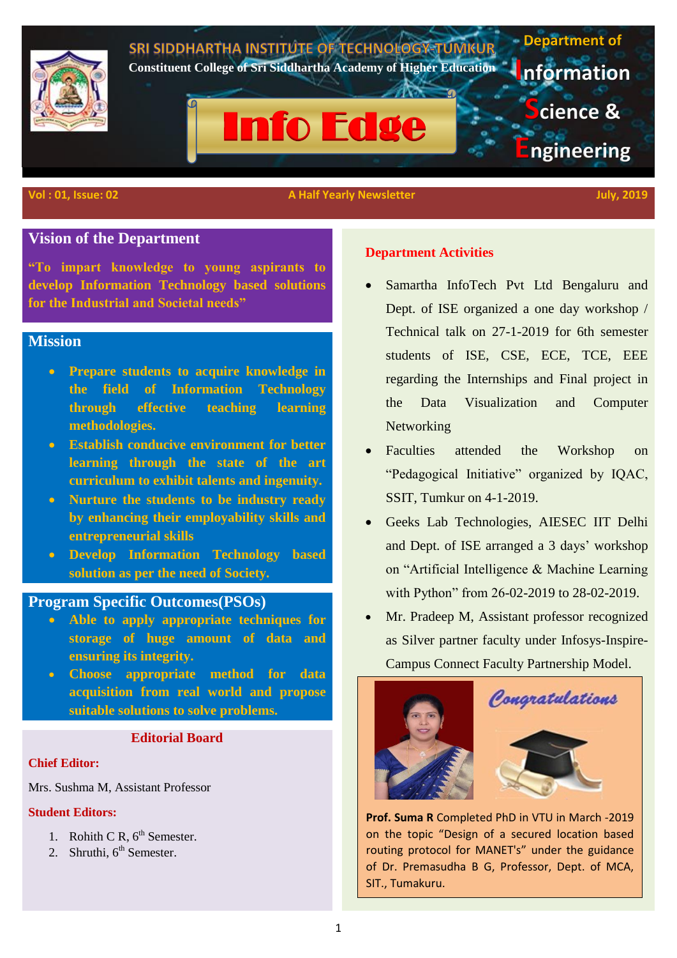

# **Vision of the Department**

**"To impart knowledge to young aspirants to develop Information Technology based solutions for the Industrial and Societal needs"**

# **Mission**

- **Prepare students to acquire knowledge in the field of Information Technology through effective teaching learning methodologies.**
- **Establish conducive environment for better learning through the state of the art curriculum to exhibit talents and ingenuity.**
- **Nurture the students to be industry ready by enhancing their employability skills and entrepreneurial skills**
- **Develop Information Technology based solution as per the need of Society.**

## **Program Specific Outcomes(PSOs)**

- **Able to apply appropriate techniques for storage of huge amount of data and ensuring its integrity.**
- **Choose appropriate method for data acquisition from real world and propose suitable solutions to solve problems.**

## **Editorial Board**

### **Chief Editor:**

Mrs. Sushma M, Assistant Professor

### **Student Editors:**

- 1. Rohith C R,  $6^{th}$  Semester.
- 2. Shruthi,  $6<sup>th</sup>$  Semester.

### **Department Activities**

- Samartha InfoTech Pvt Ltd Bengaluru and Dept. of ISE organized a one day workshop / Technical talk on 27-1-2019 for 6th semester students of ISE, CSE, ECE, TCE, EEE regarding the Internships and Final project in the Data Visualization and Computer **Networking**
- Faculties attended the Workshop on "Pedagogical Initiative" organized by IQAC, SSIT, Tumkur on 4-1-2019.
- Geeks Lab Technologies, AIESEC IIT Delhi and Dept. of ISE arranged a 3 days' workshop on "Artificial Intelligence & Machine Learning with Python" from 26-02-2019 to 28-02-2019.
- Mr. Pradeep M, Assistant professor recognized as Silver partner faculty under Infosys-Inspire-Campus Connect Faculty Partnership Model.





**Prof. Suma R** Completed PhD in VTU in March -2019 on the topic "Design of a secured location based routing protocol for MANET's" under the guidance of Dr. Premasudha B G, Professor, Dept. of MCA, SIT., Tumakuru.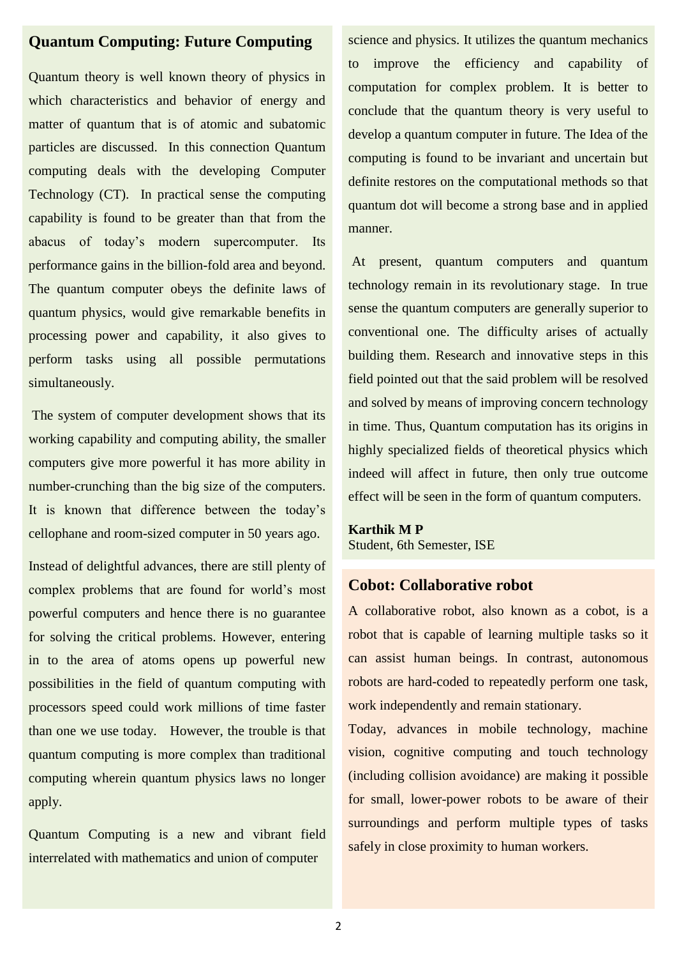# **Quantum Computing: Future Computing**

Quantum theory is well known theory of physics in which characteristics and behavior of energy and matter of quantum that is of atomic and subatomic particles are discussed. In this connection Quantum computing deals with the developing Computer Technology (CT). In practical sense the computing capability is found to be greater than that from the abacus of today's modern supercomputer. Its performance gains in the billion-fold area and beyond. The quantum computer obeys the definite laws of quantum physics, would give remarkable benefits in processing power and capability, it also gives to perform tasks using all possible permutations simultaneously.

The system of computer development shows that its working capability and computing ability, the smaller computers give more powerful it has more ability in number-crunching than the big size of the computers. It is known that difference between the today's cellophane and room-sized computer in 50 years ago.

Instead of delightful advances, there are still plenty of complex problems that are found for world's most powerful computers and hence there is no guarantee for solving the critical problems. However, entering in to the area of atoms opens up powerful new possibilities in the field of quantum computing with processors speed could work millions of time faster than one we use today. However, the trouble is that quantum computing is more complex than traditional computing wherein quantum physics laws no longer apply.

Quantum Computing is a new and vibrant field interrelated with mathematics and union of computer

science and physics. It utilizes the quantum mechanics to improve the efficiency and capability of computation for complex problem. It is better to conclude that the quantum theory is very useful to develop a quantum computer in future. The Idea of the computing is found to be invariant and uncertain but definite restores on the computational methods so that quantum dot will become a strong base and in applied manner.

At present, quantum computers and quantum technology remain in its revolutionary stage. In true sense the quantum computers are generally superior to conventional one. The difficulty arises of actually building them. Research and innovative steps in this field pointed out that the said problem will be resolved and solved by means of improving concern technology in time. Thus, Quantum computation has its origins in highly specialized fields of theoretical physics which indeed will affect in future, then only true outcome effect will be seen in the form of quantum computers.

### **Karthik M P** Student, 6th Semester, ISE

# **Cobot: Collaborative robot**

A collaborative robot, also known as a cobot, is a robot that is capable of learning multiple tasks so it can assist human beings. In contrast, autonomous robots are hard-coded to repeatedly perform one task, work independently and remain stationary.

Today, advances in mobile technology, machine vision, cognitive computing and touch technology (including collision avoidance) are making it possible for small, lower-power robots to be aware of their surroundings and perform multiple types of tasks safely in close proximity to human workers.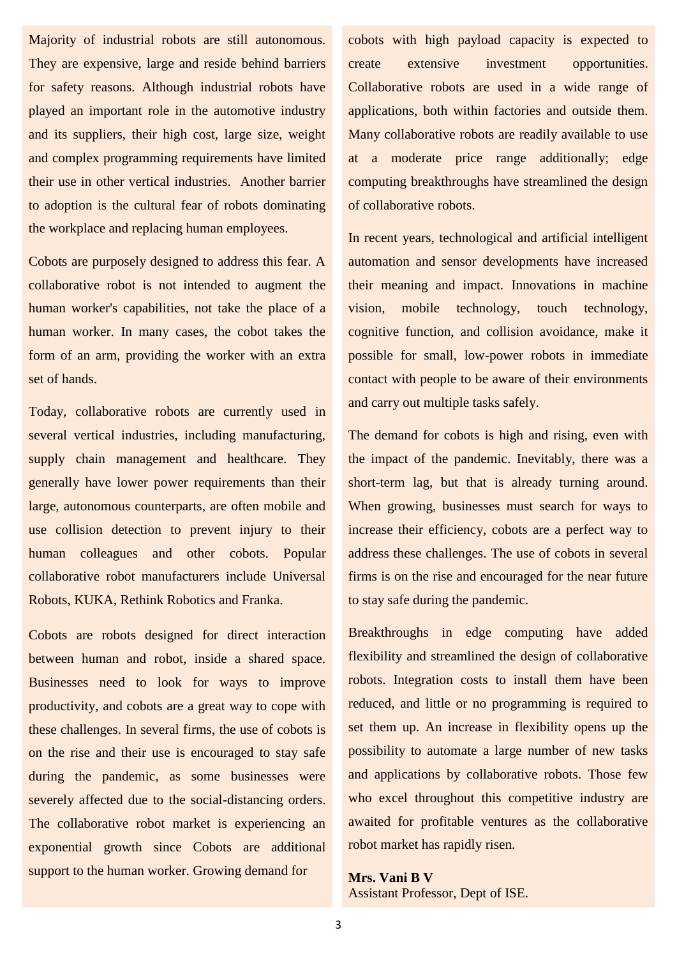Majority of industrial robots are still autonomous. They are expensive, large and reside behind barriers for safety reasons. Although industrial robots have played an important role in the automotive industry and its suppliers, their high cost, large size, weight and complex programming requirements have limited their use in other vertical industries. Another barrier to adoption is the cultural fear of robots dominating the workplace and replacing human employees.

Cobots are purposely designed to address this fear. A collaborative robot is not intended to augment the human worker's capabilities, not take the place of a human worker. In many cases, the cobot takes the form of an arm, providing the worker with an extra set of hands.

Today, collaborative robots are currently used in several vertical industries, including manufacturing, supply chain management and healthcare. They generally have lower power requirements than their large, autonomous counterparts, are often mobile and use collision detection to prevent injury to their human colleagues and other cobots. Popular collaborative robot manufacturers include Universal Robots, KUKA, Rethink Robotics and Franka.

Cobots are robots designed for direct interaction between human and robot, inside a shared space. Businesses need to look for ways to improve productivity, and cobots are a great way to cope with these challenges. In several firms, the use of cobots is on the rise and their use is encouraged to stay safe during the pandemic, as some businesses were severely affected due to the social-distancing orders. The collaborative robot market is experiencing an exponential growth since Cobots are additional support to the human worker. Growing demand for

cobots with high payload capacity is expected to create extensive investment opportunities. Collaborative robots are used in a wide range of applications, both within factories and outside them. Many collaborative robots are readily available to use at a moderate price range additionally; edge computing breakthroughs have streamlined the design of collaborative robots.

In recent years, technological and artificial intelligent automation and sensor developments have increased their meaning and impact. Innovations in machine vision, mobile technology, touch technology, cognitive function, and collision avoidance, make it possible for small, low-power robots in immediate contact with people to be aware of their environments and carry out multiple tasks safely.

The demand for cobots is high and rising, even with the impact of the pandemic. Inevitably, there was a short-term lag, but that is already turning around. When growing, businesses must search for ways to increase their efficiency, cobots are a perfect way to address these challenges. The use of cobots in several firms is on the rise and encouraged for the near future to stay safe during the pandemic.

Breakthroughs in edge computing have added flexibility and streamlined the design of collaborative robots. Integration costs to install them have been reduced, and little or no programming is required to set them up. An increase in flexibility opens up the possibility to automate a large number of new tasks and applications by collaborative robots. Those few who excel throughout this competitive industry are awaited for profitable ventures as the collaborative robot market has rapidly risen.

**Mrs. Vani B V** Assistant Professor, Dept of ISE.